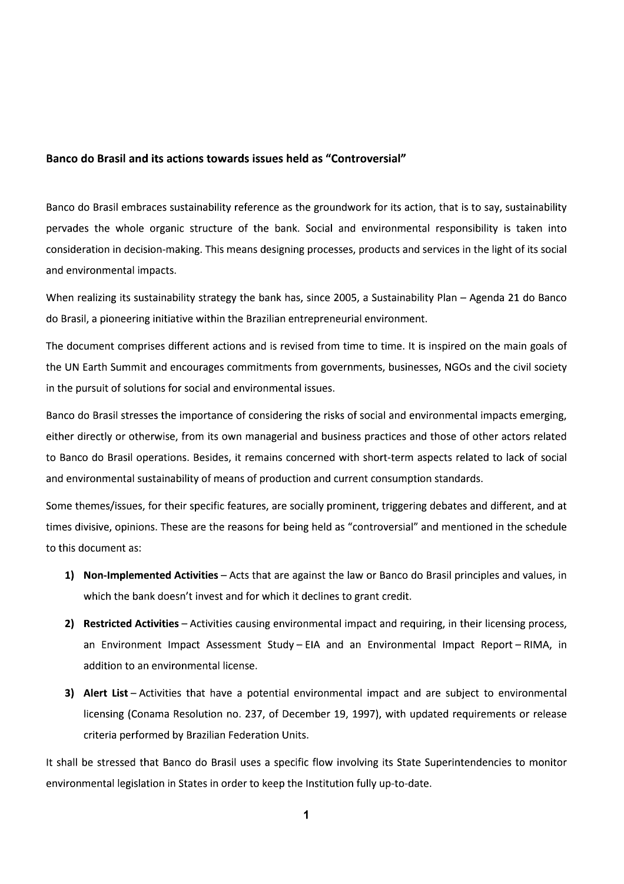### Banco do Brasil and its actions towards issues held as "Controversial"

Banco do Brasil embraces sustainability reference as the groundwork for its action, that is to say, sustainability pervades the whole organic structure of the bank. Social and environmental responsibility is taken into consideration in decision-making. This means designing processes, products and services in the light of its social and environmental impacts.

When realizing its sustainability strategy the bank has, since 2005, a Sustainability Plan – Agenda 21 do Banco do Brasil, a pioneering initiative within the Brazilian entrepreneurial environment.

The document comprises different actions and is revised from time to time. It is inspired on the main goals of the UN Earth Summit and encourages commitments from governments, businesses, NGOs and the civil society in the pursuit of solutions for social and environmental issues.

Banco do Brasil stresses the importance of considering the risks of social and environmental impacts emerging, either directly or otherwise, from its own managerial and business practices and those of other actors related to Banco do Brasil operations. Besides, it remains concerned with short-term aspects related to lack of social and environmental sustainability of means of production and current consumption standards.

Some themes/issues, for their specific features, are socially prominent, triggering debates and different, and at times divisive, opinions. These are the reasons for being held as "controversial" and mentioned in the schedule to this document as:

- 1) Non-Implemented Activities Acts that are against the law or Banco do Brasil principles and values, in which the bank doesn't invest and for which it declines to grant credit.
- 2) Restricted Activities Activities causing environmental impact and requiring, in their licensing process, an Environment Impact Assessment Study - EIA and an Environmental Impact Report - RIMA, in addition to an environmental license.
- 3) Alert List Activities that have a potential environmental impact and are subject to environmental licensing (Conama Resolution no. 237, of December 19, 1997), with updated requirements or release criteria performed by Brazilian Federation Units.

It shall be stressed that Banco do Brasil uses a specific flow involving its State Superintendencies to monitor environmental legislation in States in order to keep the Institution fully up-to-date.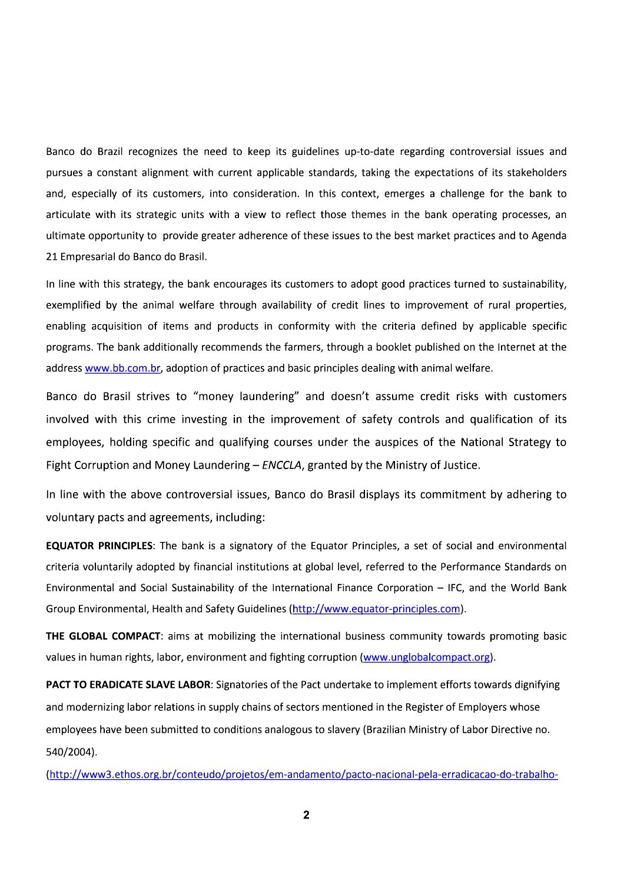Banco do Brazil recognizes the need to keep its guidelines up-to-date regarding controversial issues and pursues a constant alignment with current applicable standards, taking the expectations of its stakeholders and, especially of its customers, into consideration. In this context, emerges a challenge for the bank to articulate with its strategic units with a view to reflect those themes in the bank operating processes, an ultimate opportunity to provide greater adherence of these issues to the best market practices and to Agenda 21 Empresarial do Banco do Brasil.

In line with this strategy, the bank encourages its customers to adopt good practices turned to sustainability, exemplified by the animal welfare through availability of credit lines to improvement of rural properties, enabling acquisition of items and products in conformity with the criteria defined by applicable specific programs. The bank additionally recommends the farmers, through a booklet published on the Internet at the address www.bb.com.br, adoption of practices and basic principles dealing with animal welfare.

Banco do Brasil strives to "money laundering" and doesn't assume credit risks with customers involved with this crime investing in the improvement of safety controls and qualification of its employees, holding specific and qualifying courses under the auspices of the National Strategy to Fight Corruption and Money Laundering - ENCCLA, granted by the Ministry of Justice.

In line with the above controversial issues, Banco do Brasil displays its commitment by adhering to voluntary pacts and agreements, including:

**EQUATOR PRINCIPLES:** The bank is a signatory of the Equator Principles, a set of social and environmental criteria voluntarily adopted by financial institutions at global level, referred to the Performance Standards on Environmental and Social Sustainability of the International Finance Corporation - IFC, and the World Bank Group Environmental, Health and Safety Guidelines (http://www.equator-principles.com).

THE GLOBAL COMPACT: aims at mobilizing the international business community towards promoting basic values in human rights, labor, environment and fighting corruption (www.unglobalcompact.org).

PACT TO ERADICATE SLAVE LABOR: Signatories of the Pact undertake to implement efforts towards dignifying and modernizing labor relations in supply chains of sectors mentioned in the Register of Employers whose employees have been submitted to conditions analogous to slavery (Brazilian Ministry of Labor Directive no. 540/2004).

(http://www3.ethos.org.br/conteudo/projetos/em-andamento/pacto-nacional-pela-erradicacao-do-trabalho-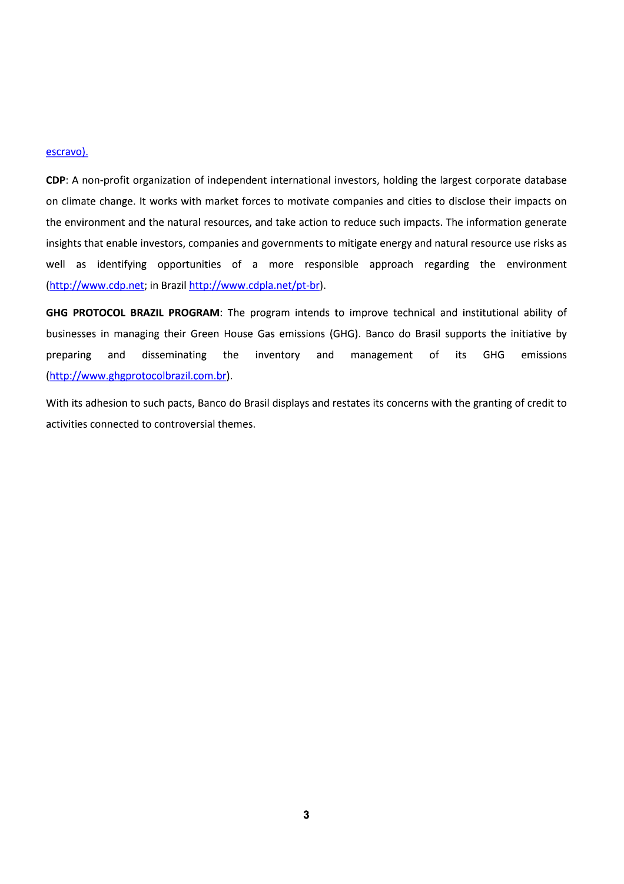#### escravo).

CDP: A non-profit organization of independent international investors, holding the largest corporate database on climate change. It works with market forces to motivate companies and cities to disclose their impacts on the environment and the natural resources, and take action to reduce such impacts. The information generate insights that enable investors, companies and governments to mitigate energy and natural resource use risks as well as identifying opportunities of a more responsible approach regarding the environment (http://www.cdp.net; in Brazil http://www.cdpla.net/pt-br).

GHG PROTOCOL BRAZIL PROGRAM: The program intends to improve technical and institutional ability of businesses in managing their Green House Gas emissions (GHG). Banco do Brasil supports the initiative by preparing disseminating the inventory and management  $of$ its **GHG** emissions and (http://www.ghgprotocolbrazil.com.br).

With its adhesion to such pacts, Banco do Brasil displays and restates its concerns with the granting of credit to activities connected to controversial themes.